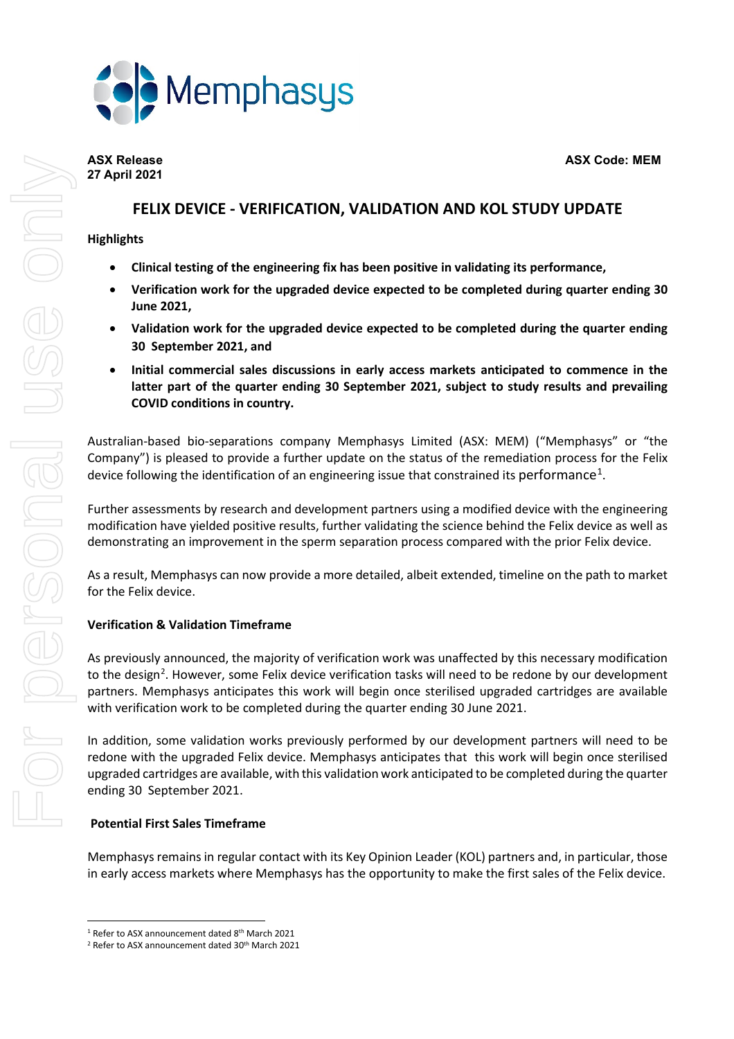



# **27 April 2021**

## **FELIX DEVICE - VERIFICATION, VALIDATION AND KOL STUDY UPDATE**

### **Highlights**

- **Clinical testing of the engineering fix has been positive in validating its performance,**
- **Verification work for the upgraded device expected to be completed during quarter ending 30 June 2021,**
- **Validation work for the upgraded device expected to be completed during the quarter ending 30 September 2021, and**
- **Initial commercial sales discussions in early access markets anticipated to commence in the latter part of the quarter ending 30 September 2021, subject to study results and prevailing COVID conditions in country.**

Australian-based bio-separations company Memphasys Limited (ASX: MEM) ("Memphasys" or "the Company") is pleased to provide a further update on the status of the remediation process for the Felix device following the identification of an engineering issue that constrained its performance<sup>[1](#page-0-0)</sup>.

Further assessments by research and development partners using a modified device with the engineering modification have yielded positive results, further validating the science behind the Felix device as well as demonstrating an improvement in the sperm separation process compared with the prior Felix device.

As a result, Memphasys can now provide a more detailed, albeit extended, timeline on the path to market for the Felix device.

## **Verification & Validation Timeframe**

As previously announced, the majority of verification work was unaffected by this necessary modification to the design<sup>[2](#page-0-1)</sup>. However, some Felix device verification tasks will need to be redone by our development partners. Memphasys anticipates this work will begin once sterilised upgraded cartridges are available with verification work to be completed during the quarter ending 30 June 2021.

In addition, some validation works previously performed by our development partners will need to be redone with the upgraded Felix device. Memphasys anticipates that this work will begin once sterilised upgraded cartridges are available, with this validation work anticipated to be completed during the quarter ending 30 September 2021.

## **Potential First Sales Timeframe**

Memphasys remains in regular contact with its Key Opinion Leader (KOL) partners and, in particular, those in early access markets where Memphasys has the opportunity to make the first sales of the Felix device.

<span id="page-0-0"></span> $1$  Refer to ASX announcement dated  $8<sup>th</sup>$  March 2021

<span id="page-0-1"></span><sup>&</sup>lt;sup>2</sup> Refer to ASX announcement dated 30<sup>th</sup> March 2021